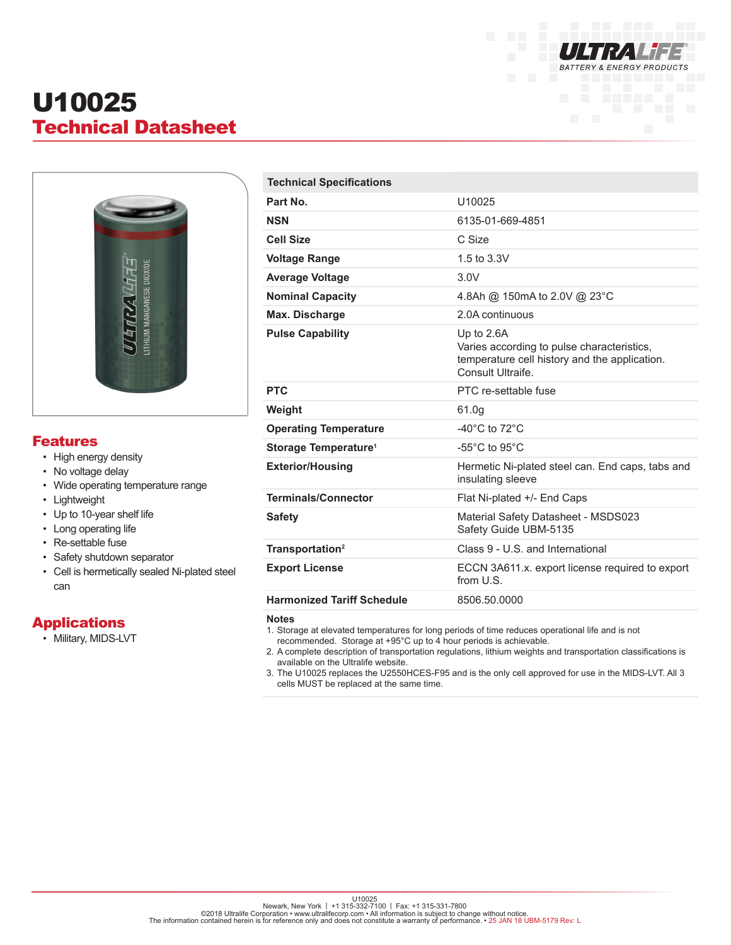

# U10025 Technical Datasheet



### Features

- High energy density
- No voltage delay
- Wide operating temperature range
- Lightweight
- Up to 10-year shelf life
- Long operating life
- Re-settable fuse
- Safety shutdown separator
- Cell is hermetically sealed Ni-plated steel can

# **Applications**

• Military, MIDS-LVT

| <b>Technical Specifications</b>   |                                                                                                                                |
|-----------------------------------|--------------------------------------------------------------------------------------------------------------------------------|
| Part No.                          | U10025                                                                                                                         |
| <b>NSN</b>                        | 6135-01-669-4851                                                                                                               |
| <b>Cell Size</b>                  | C Size                                                                                                                         |
| <b>Voltage Range</b>              | 1.5 to 3.3V                                                                                                                    |
| <b>Average Voltage</b>            | 3.0V                                                                                                                           |
| <b>Nominal Capacity</b>           | 4.8Ah @ 150mA to 2.0V @ 23°C                                                                                                   |
| <b>Max. Discharge</b>             | 2.0A continuous                                                                                                                |
| <b>Pulse Capability</b>           | Up to 2.6A<br>Varies according to pulse characteristics,<br>temperature cell history and the application.<br>Consult Ultraife. |
| <b>PTC</b>                        | PTC re-settable fuse                                                                                                           |
| Weight                            | 61.0g                                                                                                                          |
| <b>Operating Temperature</b>      | $-40^{\circ}$ C to $72^{\circ}$ C                                                                                              |
| Storage Temperature <sup>1</sup>  | $-55^{\circ}$ C to 95 $^{\circ}$ C                                                                                             |
| <b>Exterior/Housing</b>           | Hermetic Ni-plated steel can. End caps, tabs and<br>insulating sleeve                                                          |
| <b>Terminals/Connector</b>        | Flat Ni-plated +/- End Caps                                                                                                    |
| <b>Safety</b>                     | Material Safety Datasheet - MSDS023<br>Safety Guide UBM-5135                                                                   |
| Transportation <sup>2</sup>       | Class 9 - U.S. and International                                                                                               |
| <b>Export License</b>             | ECCN 3A611.x. export license required to export<br>from U.S.                                                                   |
| <b>Harmonized Tariff Schedule</b> | 8506.50.0000                                                                                                                   |

**Notes**

1. Storage at elevated temperatures for long periods of time reduces operational life and is not

recommended. Storage at +95°C up to 4 hour periods is achievable.

2. A complete description of transportation regulations, lithium weights and transportation classifications is available on the Ultralife website.

3. The U10025 replaces the U2550HCES-F95 and is the only cell approved for use in the MIDS-LVT. All 3 cells MUST be replaced at the same time.